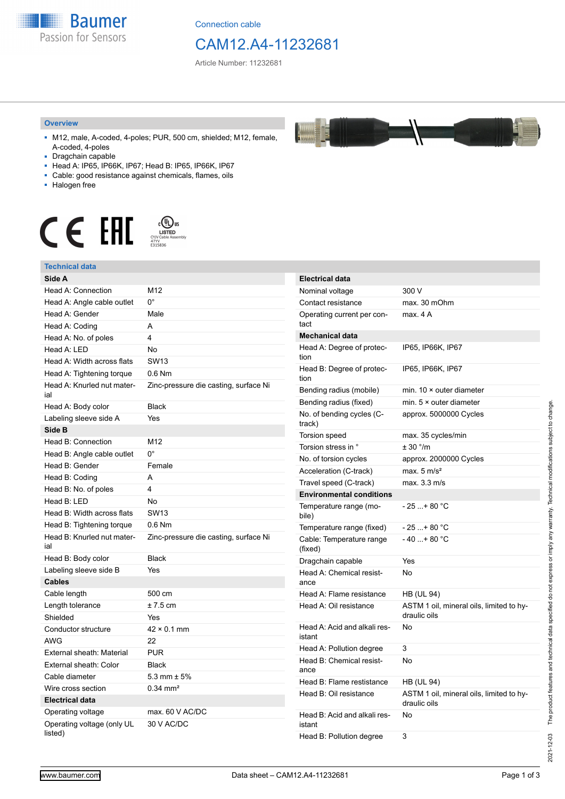

Connection cable

## CAM12.A4-11232681

Article Number: 11232681

#### **Overview**

- M12, male, A-coded, 4-poles; PUR, 500 cm, shielded; M12, female, A-coded, 4-poles
- Dragchain capable
- Head A: IP65, IP66K, IP67; Head B: IP65, IP66K, IP67
- Cable: good resistance against chemicals, flames, oils
- Halogen free



#### **Technical data**

| Technical data                        |                                       |
|---------------------------------------|---------------------------------------|
| Side A                                |                                       |
| Head A: Connection                    | M12                                   |
| Head A: Angle cable outlet            | $0^{\circ}$                           |
| Head A: Gender                        | Male                                  |
| Head A: Coding                        | A                                     |
| Head A: No. of poles                  | 4                                     |
| Head A: LED                           | No                                    |
| Head A: Width across flats            | <b>SW13</b>                           |
| Head A: Tightening torque             | $0.6$ Nm                              |
| Head A: Knurled nut mater-<br>ial     | Zinc-pressure die casting, surface Ni |
| Head A: Body color                    | <b>Black</b>                          |
| Labeling sleeve side A                | Yes                                   |
| Side B                                |                                       |
| Head B: Connection                    | M12                                   |
| Head B: Angle cable outlet            | $0^{\circ}$                           |
| Head B: Gender                        | Female                                |
| Head B: Coding                        | A                                     |
| Head B: No. of poles                  | 4                                     |
| Head B: LED                           | No                                    |
| Head B: Width across flats            | <b>SW13</b>                           |
| Head B: Tightening torque             | $0.6$ Nm                              |
| Head B: Knurled nut mater-<br>ial     | Zinc-pressure die casting, surface Ni |
| Head B: Body color                    | <b>Black</b>                          |
| Labeling sleeve side B                | Yes                                   |
| Cables                                |                                       |
| Cable length                          | 500 cm                                |
| Length tolerance                      | $± 7.5$ cm                            |
| Shielded                              | Yes                                   |
| Conductor structure                   | $42 \times 0.1$ mm                    |
| AWG                                   | 22                                    |
| External sheath: Material             | <b>PUR</b>                            |
| External sheath: Color                | <b>Black</b>                          |
| Cable diameter                        | 5.3 mm $\pm$ 5%                       |
| Wire cross section                    | $0.34$ mm <sup>2</sup>                |
| <b>Electrical data</b>                |                                       |
| Operating voltage                     | max. 60 V AC/DC                       |
| Operating voltage (only UL<br>listed) | 30 V AC/DC                            |

| <b>Electrical data</b>                 |                                                          |
|----------------------------------------|----------------------------------------------------------|
| Nominal voltage                        | 300 V                                                    |
| Contact resistance                     | max. 30 mOhm                                             |
| Operating current per con-<br>tact     | max. 4A                                                  |
| <b>Mechanical data</b>                 |                                                          |
| Head A: Degree of protec-<br>tion      | IP65, IP66K, IP67                                        |
| Head B: Degree of protec-<br>tion      | IP65, IP66K, IP67                                        |
| Bending radius (mobile)                | min. $10 \times$ outer diameter                          |
| Bending radius (fixed)                 | min. $5 \times$ outer diameter                           |
| No. of bending cycles (C-<br>track)    | approx. 5000000 Cycles                                   |
| <b>Torsion speed</b>                   | max. 35 cycles/min                                       |
| Torsion stress in °                    | ± 30 °/m                                                 |
| No. of torsion cycles                  | approx. 2000000 Cycles                                   |
| Acceleration (C-track)                 | max. $5 \text{ m/s}^2$                                   |
| Travel speed (C-track)                 | max. 3.3 m/s                                             |
| <b>Environmental conditions</b>        |                                                          |
| Temperature range (mo-<br>bile)        | - 25 + 80 °C                                             |
| Temperature range (fixed)              | - 25 + 80 °C                                             |
| Cable: Temperature range<br>(fixed)    | $-40+80 °C$                                              |
| Dragchain capable                      | Yes                                                      |
| Head A: Chemical resist-<br>ance       | No                                                       |
| Head A: Flame resistance               | HB (UL 94)                                               |
| Head A: Oil resistance                 | ASTM 1 oil, mineral oils, limited to hy-<br>draulic oils |
| Head A: Acid and alkali res-<br>istant | No                                                       |
| Head A: Pollution degree               | 3                                                        |
| Head B: Chemical resist-<br>ance       | No                                                       |
| Head B: Flame restistance              | HB (UL 94)                                               |
| Head B: Oil resistance                 | ASTM 1 oil, mineral oils, limited to hy-<br>draulic oils |
| Head B: Acid and alkali res-<br>istant | No                                                       |
| Head B: Pollution degree               | 3                                                        |

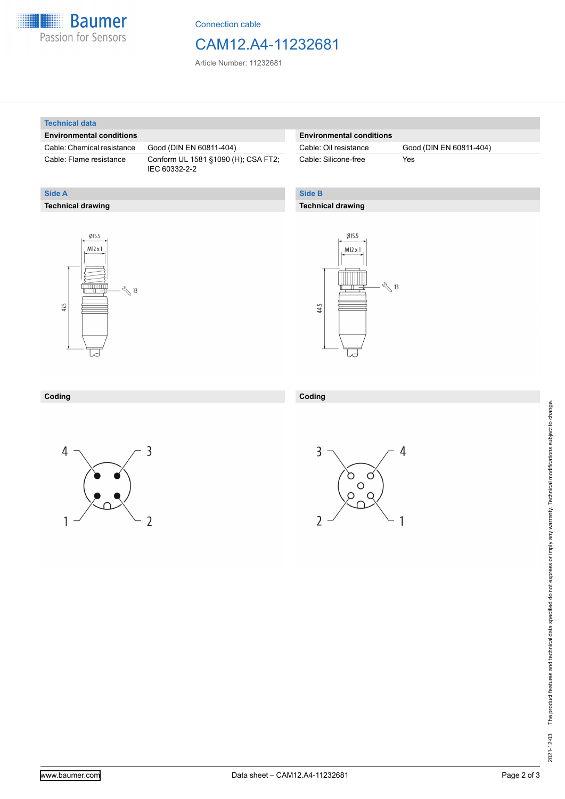

Connection cable

### CAM12.A4-11232681

Article Number: 11232681

#### **Technical data**

**Technical drawing**

**Side A**

#### **Environmental conditions**

Cable: Chemical resistance Good (DIN EN 60811-404)

Cable: Flame resistance Conform UL 1581 §1090 (H); CSA FT2; IEC 60332-2-2

#### **Environmental conditions**

Cable: Silicone-free Yes

Cable: Oil resistance Good (DIN EN 60811-404)

### **Side B**

#### **Technical drawing**





| Coding | Codina<br>,,,,,, |
|--------|------------------|
|        |                  |